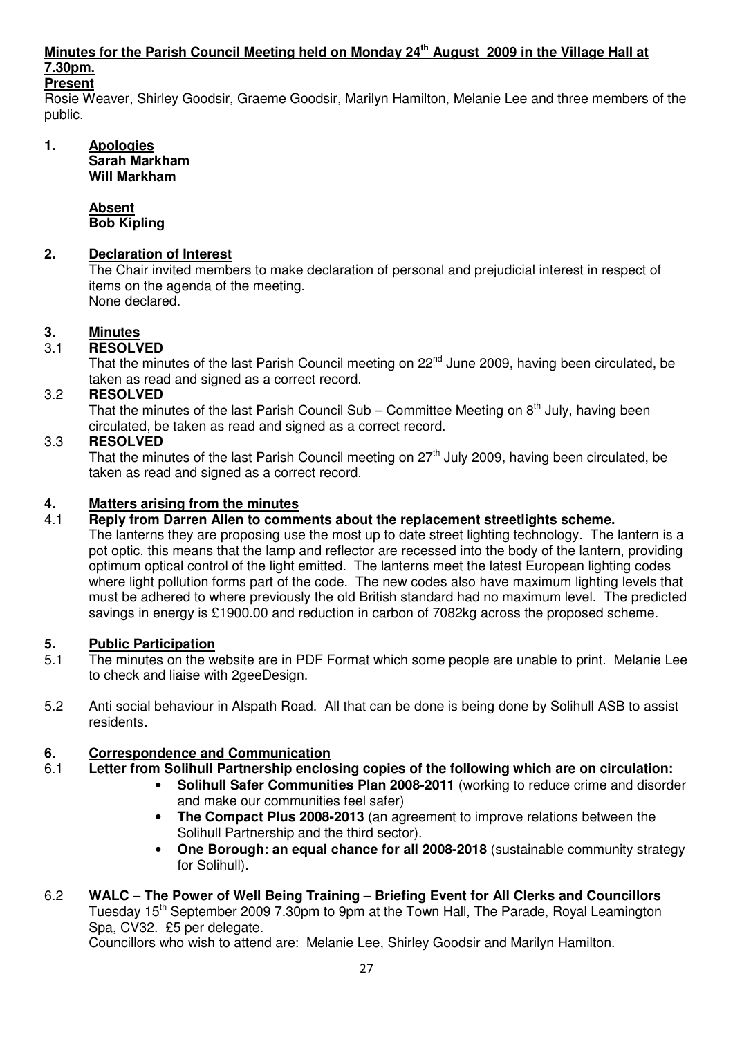# **Minutes for the Parish Council Meeting held on Monday 24th August 2009 in the Village Hall at 7.30pm.**

## **Present**

Rosie Weaver, Shirley Goodsir, Graeme Goodsir, Marilyn Hamilton, Melanie Lee and three members of the public.

#### **1. Apologies Sarah Markham Will Markham**

 **Absent Bob Kipling** 

## **2. Declaration of Interest**

The Chair invited members to make declaration of personal and prejudicial interest in respect of items on the agenda of the meeting. None declared.

## **3. Minutes**

## 3.1 **RESOLVED**

That the minutes of the last Parish Council meeting on 22<sup>nd</sup> June 2009, having been circulated, be taken as read and signed as a correct record.

## 3.2 **RESOLVED**

That the minutes of the last Parish Council Sub – Committee Meeting on  $8<sup>th</sup>$  July, having been circulated, be taken as read and signed as a correct record.

## 3.3 **RESOLVED**

That the minutes of the last Parish Council meeting on  $27<sup>th</sup>$  July 2009, having been circulated, be taken as read and signed as a correct record.

## **4. Matters arising from the minutes**

## 4.1 **Reply from Darren Allen to comments about the replacement streetlights scheme.**

The lanterns they are proposing use the most up to date street lighting technology. The lantern is a pot optic, this means that the lamp and reflector are recessed into the body of the lantern, providing optimum optical control of the light emitted. The lanterns meet the latest European lighting codes where light pollution forms part of the code. The new codes also have maximum lighting levels that must be adhered to where previously the old British standard had no maximum level. The predicted savings in energy is £1900.00 and reduction in carbon of 7082kg across the proposed scheme.

## **5. Public Participation**

- 5.1 The minutes on the website are in PDF Format which some people are unable to print. Melanie Lee to check and liaise with 2geeDesign.
- 5.2 Anti social behaviour in Alspath Road. All that can be done is being done by Solihull ASB to assist residents**.**

## **6. Correspondence and Communication**

- 6.1 **Letter from Solihull Partnership enclosing copies of the following which are on circulation:** 
	- **Solihull Safer Communities Plan 2008-2011** (working to reduce crime and disorder and make our communities feel safer)
	- **The Compact Plus 2008-2013** (an agreement to improve relations between the Solihull Partnership and the third sector).
	- **One Borough: an equal chance for all 2008-2018** (sustainable community strategy for Solihull).

# 6.2 **WALC – The Power of Well Being Training – Briefing Event for All Clerks and Councillors**  Tuesday 15<sup>th</sup> September 2009 7.30pm to 9pm at the Town Hall, The Parade, Royal Leamington Spa, CV32. £5 per delegate.

Councillors who wish to attend are: Melanie Lee, Shirley Goodsir and Marilyn Hamilton.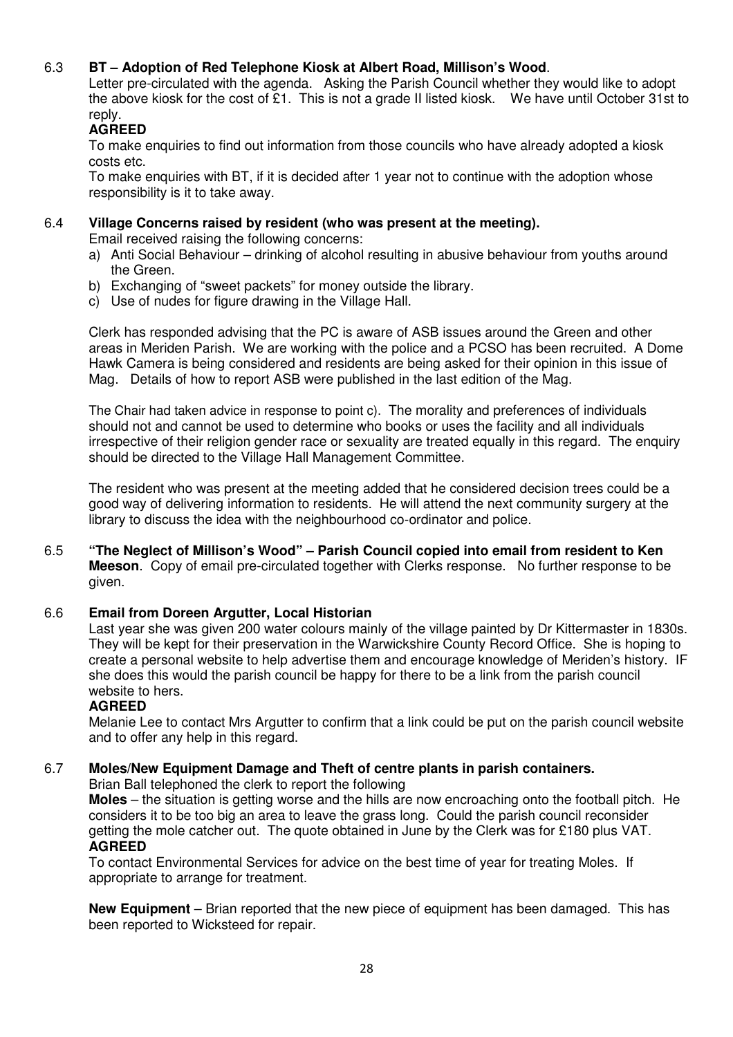## 6.3 **BT – Adoption of Red Telephone Kiosk at Albert Road, Millison's Wood**.

Letter pre-circulated with the agenda. Asking the Parish Council whether they would like to adopt the above kiosk for the cost of £1. This is not a grade II listed kiosk. We have until October 31st to reply.

## **AGREED**

To make enquiries to find out information from those councils who have already adopted a kiosk costs etc.

To make enquiries with BT, if it is decided after 1 year not to continue with the adoption whose responsibility is it to take away.

## 6.4 **Village Concerns raised by resident (who was present at the meeting).**

Email received raising the following concerns:

- a) Anti Social Behaviour drinking of alcohol resulting in abusive behaviour from youths around the Green.
- b) Exchanging of "sweet packets" for money outside the library.
- c) Use of nudes for figure drawing in the Village Hall.

Clerk has responded advising that the PC is aware of ASB issues around the Green and other areas in Meriden Parish. We are working with the police and a PCSO has been recruited. A Dome Hawk Camera is being considered and residents are being asked for their opinion in this issue of Mag. Details of how to report ASB were published in the last edition of the Mag.

 The Chair had taken advice in response to point c). The morality and preferences of individuals should not and cannot be used to determine who books or uses the facility and all individuals irrespective of their religion gender race or sexuality are treated equally in this regard. The enquiry should be directed to the Village Hall Management Committee.

 The resident who was present at the meeting added that he considered decision trees could be a good way of delivering information to residents. He will attend the next community surgery at the library to discuss the idea with the neighbourhood co-ordinator and police.

6.5 **"The Neglect of Millison's Wood" – Parish Council copied into email from resident to Ken Meeson**. Copy of email pre-circulated together with Clerks response. No further response to be given.

## 6.6 **Email from Doreen Argutter, Local Historian**

 Last year she was given 200 water colours mainly of the village painted by Dr Kittermaster in 1830s. They will be kept for their preservation in the Warwickshire County Record Office. She is hoping to create a personal website to help advertise them and encourage knowledge of Meriden's history. IF she does this would the parish council be happy for there to be a link from the parish council website to hers.

## **AGREED**

 Melanie Lee to contact Mrs Argutter to confirm that a link could be put on the parish council website and to offer any help in this regard.

## 6.7 **Moles/New Equipment Damage and Theft of centre plants in parish containers.**

Brian Ball telephoned the clerk to report the following

**Moles** – the situation is getting worse and the hills are now encroaching onto the football pitch. He considers it to be too big an area to leave the grass long. Could the parish council reconsider getting the mole catcher out. The quote obtained in June by the Clerk was for £180 plus VAT.  **AGREED** 

To contact Environmental Services for advice on the best time of year for treating Moles. If appropriate to arrange for treatment.

**New Equipment** – Brian reported that the new piece of equipment has been damaged. This has been reported to Wicksteed for repair.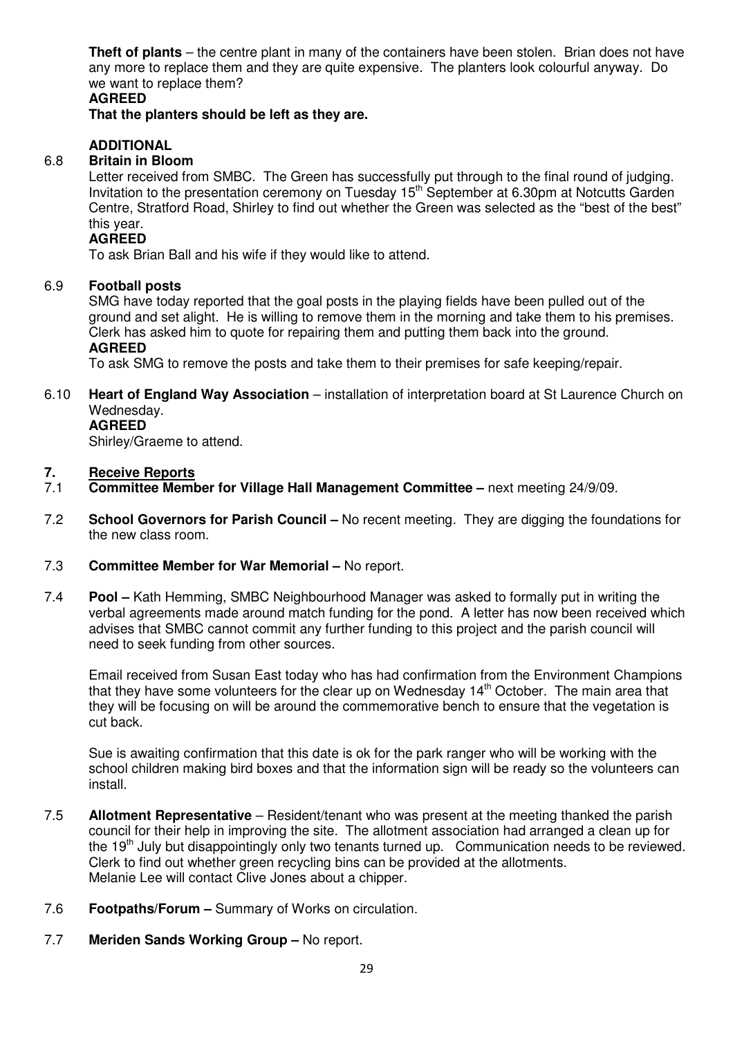**Theft of plants** – the centre plant in many of the containers have been stolen. Brian does not have any more to replace them and they are quite expensive. The planters look colourful anyway. Do we want to replace them?

## **AGREED**

 **That the planters should be left as they are.** 

## **ADDITIONAL**

## 6.8 **Britain in Bloom**

 Letter received from SMBC. The Green has successfully put through to the final round of judging. Invitation to the presentation ceremony on Tuesday 15<sup>th</sup> September at 6.30pm at Notcutts Garden Centre, Stratford Road, Shirley to find out whether the Green was selected as the "best of the best" this year.

## **AGREED**

To ask Brian Ball and his wife if they would like to attend.

## 6.9 **Football posts**

 SMG have today reported that the goal posts in the playing fields have been pulled out of the ground and set alight. He is willing to remove them in the morning and take them to his premises. Clerk has asked him to quote for repairing them and putting them back into the ground. **AGREED** 

To ask SMG to remove the posts and take them to their premises for safe keeping/repair.

#### 6.10 **Heart of England Way Association** – installation of interpretation board at St Laurence Church on Wednesday. **AGREED**

Shirley/Graeme to attend.

### **7. Receive Reports**

- 7.1 **Committee Member for Village Hall Management Committee** next meeting 24/9/09.
- 7.2 **School Governors for Parish Council** No recent meeting. They are digging the foundations for the new class room.
- 7.3 **Committee Member for War Memorial** No report.
- 7.4 **Pool** Kath Hemming, SMBC Neighbourhood Manager was asked to formally put in writing the verbal agreements made around match funding for the pond. A letter has now been received which advises that SMBC cannot commit any further funding to this project and the parish council will need to seek funding from other sources.

Email received from Susan East today who has had confirmation from the Environment Champions that they have some volunteers for the clear up on Wednesday  $14<sup>th</sup>$  October. The main area that they will be focusing on will be around the commemorative bench to ensure that the vegetation is cut back.

Sue is awaiting confirmation that this date is ok for the park ranger who will be working with the school children making bird boxes and that the information sign will be ready so the volunteers can install.

- 7.5 **Allotment Representative**  Resident/tenant who was present at the meeting thanked the parish council for their help in improving the site. The allotment association had arranged a clean up for the 19<sup>th</sup> July but disappointingly only two tenants turned up. Communication needs to be reviewed. Clerk to find out whether green recycling bins can be provided at the allotments. Melanie Lee will contact Clive Jones about a chipper.
- 7.6 **Footpaths/Forum** Summary of Works on circulation.
- 7.7 **Meriden Sands Working Group** No report.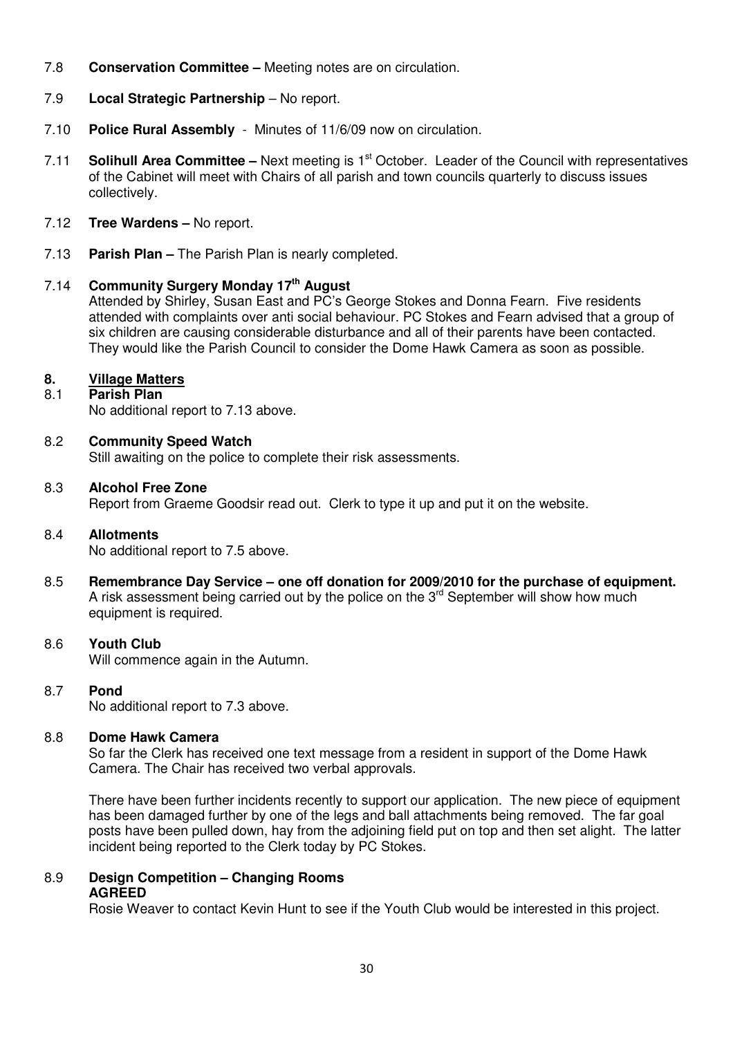- 7.8 **Conservation Committee** Meeting notes are on circulation.
- 7.9 **Local Strategic Partnership** No report.
- 7.10 **Police Rural Assembly** Minutes of 11/6/09 now on circulation.
- 7.11 **Solihull Area Committee –** Next meeting is 1<sup>st</sup> October. Leader of the Council with representatives of the Cabinet will meet with Chairs of all parish and town councils quarterly to discuss issues collectively.
- 7.12 **Tree Wardens** No report.
- 7.13 **Parish Plan** The Parish Plan is nearly completed.

## 7.14 **Community Surgery Monday 17th August**

 Attended by Shirley, Susan East and PC's George Stokes and Donna Fearn. Five residents attended with complaints over anti social behaviour. PC Stokes and Fearn advised that a group of six children are causing considerable disturbance and all of their parents have been contacted. They would like the Parish Council to consider the Dome Hawk Camera as soon as possible.

## **8. Village Matters**

## 8.1 **Parish Plan**

No additional report to 7.13 above.

## 8.2 **Community Speed Watch**

Still awaiting on the police to complete their risk assessments.

## 8.3 **Alcohol Free Zone**

Report from Graeme Goodsir read out. Clerk to type it up and put it on the website.

## 8.4 **Allotments**

No additional report to 7.5 above.

8.5 **Remembrance Day Service – one off donation for 2009/2010 for the purchase of equipment.** A risk assessment being carried out by the police on the  $3<sup>rd</sup>$  September will show how much equipment is required.

## 8.6 **Youth Club**

Will commence again in the Autumn.

## 8.7 **Pond**

No additional report to 7.3 above.

## 8.8 **Dome Hawk Camera**

So far the Clerk has received one text message from a resident in support of the Dome Hawk Camera. The Chair has received two verbal approvals.

There have been further incidents recently to support our application. The new piece of equipment has been damaged further by one of the legs and ball attachments being removed. The far goal posts have been pulled down, hay from the adjoining field put on top and then set alight. The latter incident being reported to the Clerk today by PC Stokes.

## 8.9 **Design Competition – Changing Rooms AGREED**

Rosie Weaver to contact Kevin Hunt to see if the Youth Club would be interested in this project.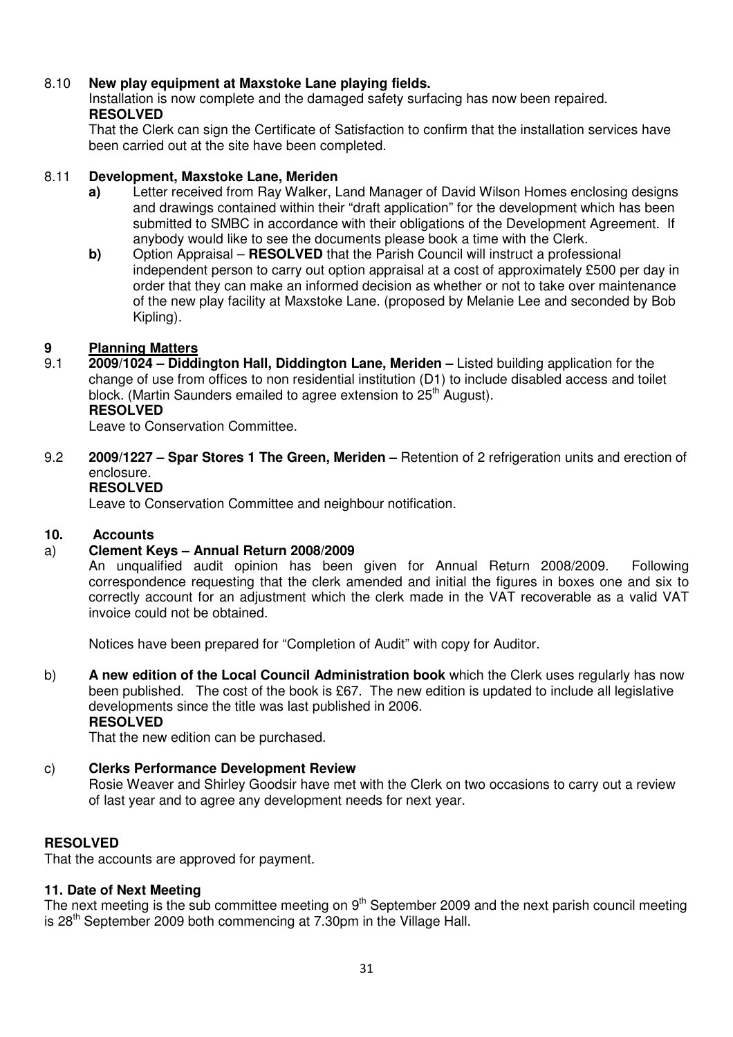## 8.10 **New play equipment at Maxstoke Lane playing fields.**

Installation is now complete and the damaged safety surfacing has now been repaired. **RESOLVED** 

That the Clerk can sign the Certificate of Satisfaction to confirm that the installation services have been carried out at the site have been completed.

## 8.11 **Development, Maxstoke Lane, Meriden**

- **a)** Letter received from Ray Walker, Land Manager of David Wilson Homes enclosing designs and drawings contained within their "draft application" for the development which has been submitted to SMBC in accordance with their obligations of the Development Agreement. If anybody would like to see the documents please book a time with the Clerk.
- **b)** Option Appraisal **RESOLVED** that the Parish Council will instruct a professional independent person to carry out option appraisal at a cost of approximately £500 per day in order that they can make an informed decision as whether or not to take over maintenance of the new play facility at Maxstoke Lane. (proposed by Melanie Lee and seconded by Bob Kipling).

## **9 Planning Matters**

9.1 **2009/1024 – Diddington Hall, Diddington Lane, Meriden –** Listed building application for the change of use from offices to non residential institution (D1) to include disabled access and toilet block. (Martin Saunders emailed to agree extension to 25<sup>th</sup> August).  **RESOLVED**

Leave to Conservation Committee.

9.2 **2009/1227 – Spar Stores 1 The Green, Meriden –** Retention of 2 refrigeration units and erection of enclosure.

## **RESOLVED**

Leave to Conservation Committee and neighbour notification.

#### **10. Accounts**

## a) **Clement Keys – Annual Return 2008/2009**

An unqualified audit opinion has been given for Annual Return 2008/2009. Following correspondence requesting that the clerk amended and initial the figures in boxes one and six to correctly account for an adjustment which the clerk made in the VAT recoverable as a valid VAT invoice could not be obtained.

Notices have been prepared for "Completion of Audit" with copy for Auditor.

b) **A new edition of the Local Council Administration book** which the Clerk uses regularly has now been published. The cost of the book is £67. The new edition is updated to include all legislative developments since the title was last published in 2006. **RESOLVED** 

That the new edition can be purchased.

#### c) **Clerks Performance Development Review**

Rosie Weaver and Shirley Goodsir have met with the Clerk on two occasions to carry out a review of last year and to agree any development needs for next year.

#### **RESOLVED**

That the accounts are approved for payment.

#### **11. Date of Next Meeting**

The next meeting is the sub committee meeting on  $9<sup>th</sup>$  September 2009 and the next parish council meeting is  $28<sup>th</sup>$  September 2009 both commencing at 7.30pm in the Village Hall.